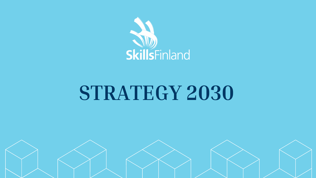

# **STRATEGY 2030**

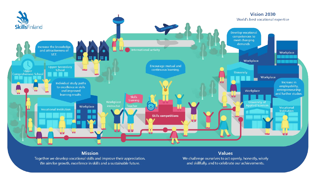

#### **Mission**

Together we develop vocational skills and improve their appreciation. We aim for growth, excellence in skills and a sustainable future.

#### **Values**

We challenge ourselves to act openly, honestly, wisely and skillfully, and to celebrate our achievements.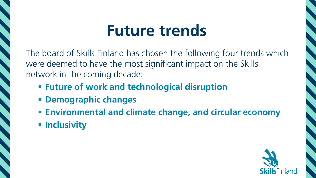## **Future trends**

The board of Skills Finland has chosen the following four trends which were deemed to have the most significant impact on the Skills network in the coming decade:

- **Future of work and technological disruption**
- **Demographic changes**
- **Environmental and climate change, and circular economy**
- **F** Inclusivity

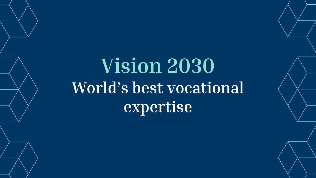## **Vision 2030 World's best vocational expertise**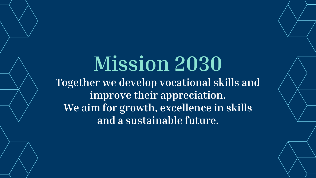## **Mission 2030 Together we develop vocational skills and improve their appreciation. We aim for growth, excellence in skills and a sustainable future.**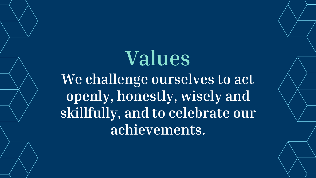## **Values We challenge ourselves to act openly, honestly, wisely and skillfully, and to celebrate our achievements.**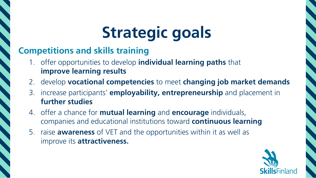## **Strategic goals**

#### **Competitions and skills training**

- 1. offer opportunities to develop **individual learning paths** that **improve learning results**
- 2. develop **vocational competencies** to meet **changing job market demands**
- 3. increase participants' **employability, entrepreneurship** and placement in **further studies**
- 4. offer a chance for **mutual learning** and **encourage** individuals, companies and educational institutions toward **continuous learning**
- 5. raise **awareness** of VET and the opportunities within it as well as improve its **attractiveness.**

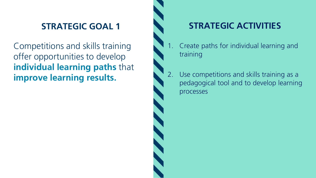Competitions and skills training offer opportunities to develop **individual learning paths** that **improve learning results.**

- 1. Create paths for individual learning and training
- 2. Use competitions and skills training as a pedagogical tool and to develop learning processes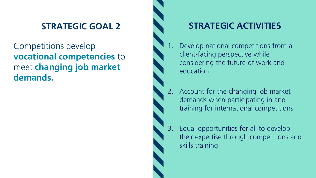Competitions develop **vocational competencies** to meet **changing job market demands.**



- 1. Develop national competitions from a client-facing perspective while considering the future of work and education
- 2. Account for the changing job market demands when participating in and training for international competitions
- 3. Equal opportunities for all to develop their expertise through competitions and skills training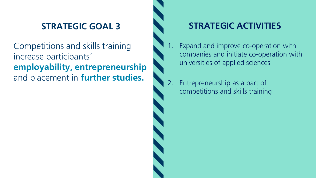Competitions and skills training increase participants' **employability, entrepreneurship**  and placement in **further studies.**

- 1. Expand and improve co-operation with companies and initiate co-operation with universities of applied sciences
- 2. Entrepreneurship as a part of competitions and skills training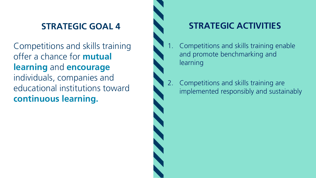Competitions and skills training offer a chance for **mutual learning** and **encourage** individuals, companies and educational institutions toward **continuous learning.**



- 1. Competitions and skills training enable and promote benchmarking and learning
- 2. Competitions and skills training are implemented responsibly and sustainably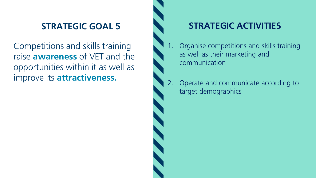Competitions and skills training raise **awareness** of VET and the opportunities within it as well as improve its **attractiveness.**



- 1. Organise competitions and skills training as well as their marketing and communication
- 2. Operate and communicate according to target demographics